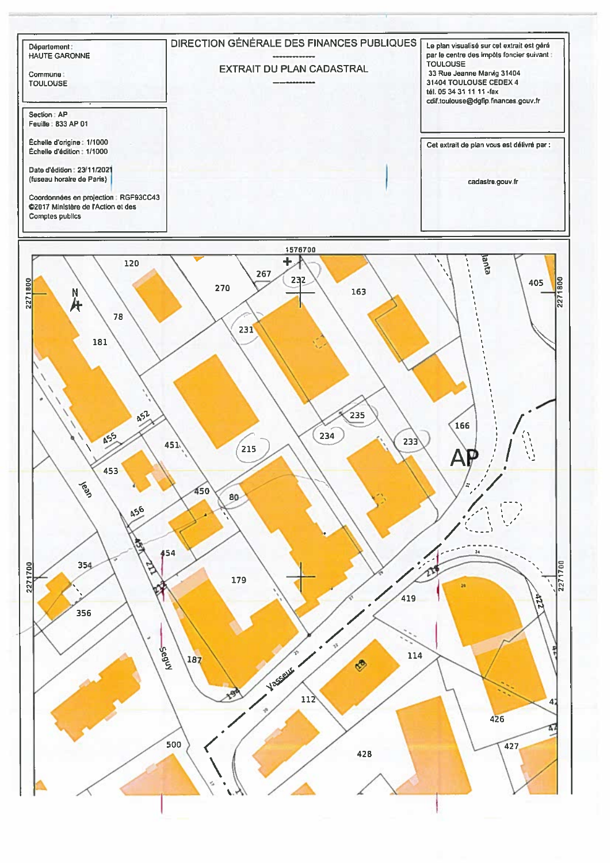